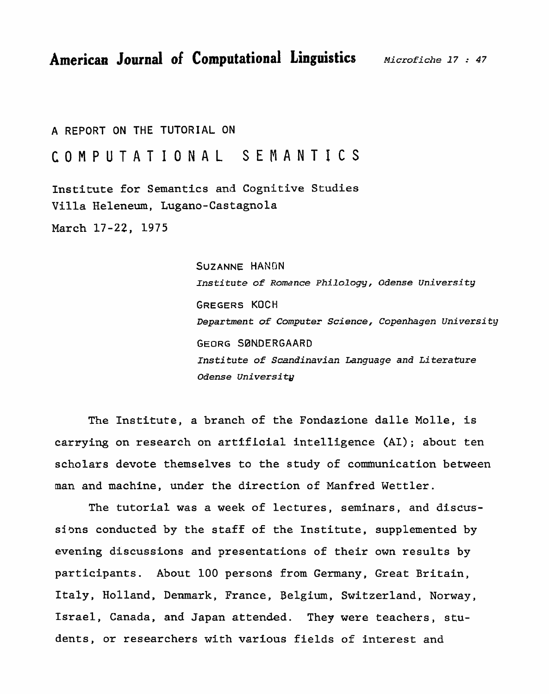**American Journal of Computational Linguistics** *Microfiche* **17** .- **<sup>47</sup>**

# **A** REPORT **ON THE TUTORIAL ON**

# **COMPUTATIONAL SEMANTICS**

**Institute for Semantics and Cognitive Studies Villa Heleneum, Lugano-Castagnola** 

**March 17-22, 1975** 

**SUZANNE** HANDN **Institute of Romance Philology,** *Odense* university **GREGERS KOCH Department of Computer** *Science,* **Copenhagen** *University*  **GEORG SBNDERGAARD Ins ti tute of** *Scandinavian Language* **and Li tera** *ture Odense* **University** 

**The Institute, a branch of the Fondaeione dalle Molle, is carrying on research on** arttfiaial **intelligence (AI); about ten scholars devote themselves to the study of comhunication between man and machine, under the direction of Manfred Wettler.** 

**The tutorial was a week of lectures, seminars, and discussiws conducted by the staff of the Institute, supplemented by evening discussions and presentations of their own results by participants. About 100 persons from Germany, Great Britain, Italy, Holland, Denmark, France, Belgium, Switzerland, Norway, Israel, Canada, and Japan attended. They were teachers, students, or researchers with various fields of interest and**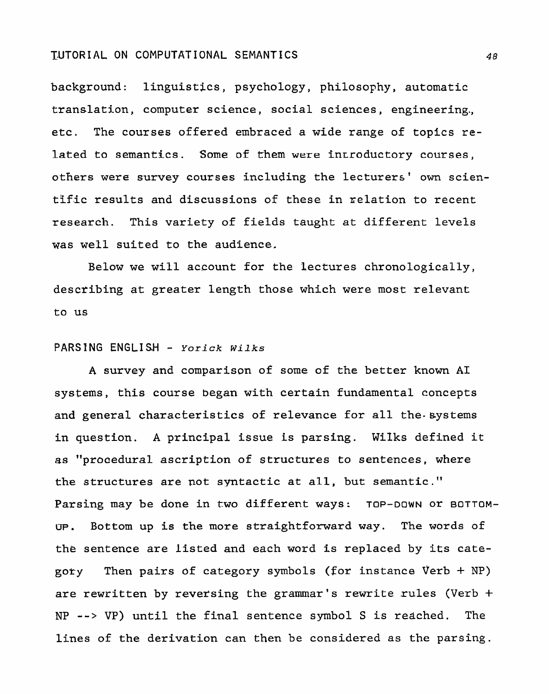background: linguistics, psychology, philosophy, automatic translation, computer science, social sciences, engineering., etc. The courses offered embraced a wide range of topics re**lated** to **semantics. Some of** them were **inrroductory courses,**  others were survey courses including **the lecturers'** own **scien**tific results and discussions of these in relation to recent research. This variety of fields taught at different levels **was** well suited to the audience.

Below we will account **for** the lectures chronologically, describing at greater length those which were most relevant to us

#### **PARSING** ENGLI **S-H** - *Yorick* **Wilks**

**A survey** and comparison of some of the better known **A1**  systems, this course **began** with certain fundamental concepts and general **characteristics** of relevance for all the-systems in question. A principal **issue** is parsing. Wilks **defined** it as **"prooedural** ascription of **structures** to **sentences, where**  the structures are not syntactic at all, but semantic." Parsing may **be** done in **two** different **ways: TOP-DOWN** or **BOTTOM-UP.** Bottom up is the more straightforward **way.** The words of **the** sentence are **listed** and each word **is** replaced by its category Then pairs of category symbols (for instance Verb + NP) are **rewritten** by reversing **the** grammar's rewrite rules (Verb + NP --> VP) until the final sentence symbol S **is reached. The**  lines **of** the derivation can then be considered as the parsing.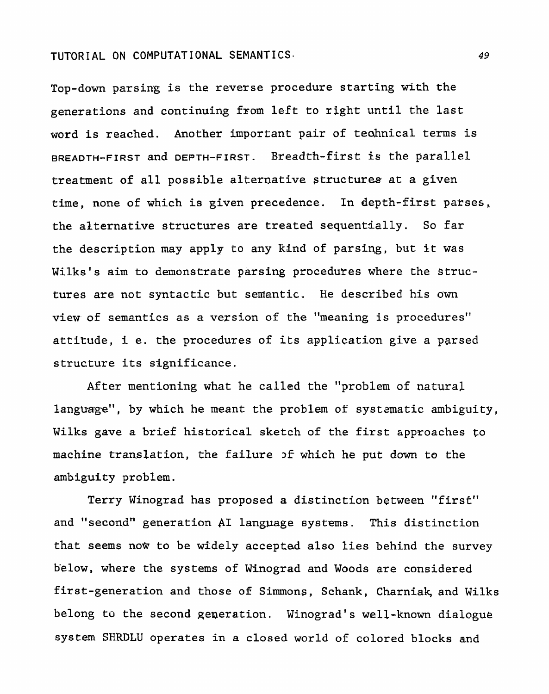Top-down parsing is the reverse procedure starting with the generations and continuing from left to right until the last word is reached. Another important pair of teahnical terms is BREADTH-FIRST and **DEPTH-FIRST.** Breadth-first is the parallel treatment of all possible alternative structures at a given time, none of which is given precedence. In depth-first parses, the akternative structures are treated sequentially. So far the description may apply to any kind of parsing, but it was Wilks's aim to demonstrate parsing procedures where the structures are not syntactic but semantic. He described his own view of semantics as a version of the "meaning is procedures" attitude, **i** e. the procedures of its application give a pgrsed structure its significance.

After mentioning what he called the "problem of natural language", by which he meant the problem of systematic ambiguity, Wilks gave a brief historical sketch of the first approaches **to**  machine translation, the failure **J£** which he put down to the ambiguity problem.

Terry Winograd has proposed a distinction between "first" and "second" generation AI language systems. This distinction that seems now to be widely accepted also lies behind the survey below, where the systems of Winograd and Woods are considered first-generation and those of Simmons, Schank, Charniak, and Wilks belong to the second generation. Winograd's well-known dialogue system SHRDLU operates in a closed world of colored **blocks and** 

49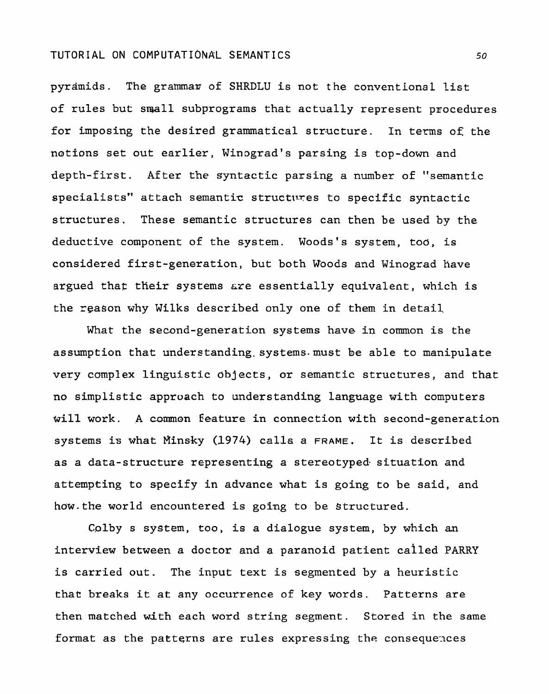pyramids. The grammar of SHRDLU is not the conventional list of rules but small subprograms that actually represent procedures for imposing the desired grammatical structure. In terms **of:** the notions set out earlier, Winograd's parsing is top-down and depth-first. After the syntactic parsing a number of "semantic specialists" attach semantic structures to specific syntactic structures. These semantic structures can then be used by the deductive component of the system. Woods's system, too, is considered first-generation, but both Woods and Winograd **have**  argued that their systems are essentially equivalent, which is the **reason** why Wilks described only one of them in detail

What the second-generation systems have in common is the assumption that understanding. systems-must be able to manipulate very **complex** linguistic abjects, or semantic structures, and that no simplistic approach to understanding language with computers will work. A common feature in connection with second-generation systems is what Rinsky (1974) **calls** a **FRAME.** It is described as a data-structure representing a stereotyped. situation and attempting to specify in advance what is going to be said, and how.the world encountered is going to be structured.

Colby s system, too, is a dialogue system, by which an interview between a doctor and a paranoid patient called PARRY is carried out. The input text is segmented by a heuristic that breaks it at any occurrence of key words. Patterns are then matched with each word string segment. Stored in the same format as the patterns are rules expressing the consequences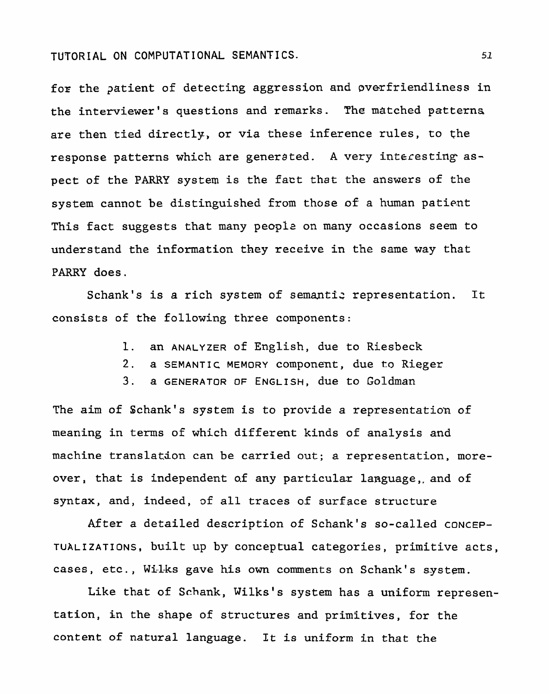for the patient of detecting aggression and overfriendliness in the interviewer's **questions** and **remarks. The** matched **patterns**  are then tied directly, or via these inference rules, to the response patterns which are generated. A very interesting as**pect** of **the PARRY** system **is the fact that the** answers of the system cannot be distinguished from those of a human patient This fact suggests that many people on many **occasions** seem **to understand the** information **they** receive in the same **way** that PARRY does.

Schank's is a rich system of semantic representation. It consists of the following three components:

- 1. an ANALYZER of English, due to **Riesbeck**
- 2. **a** SEMANTIC MEMORY Component, due **to Rieger**
- **3. a GENERATOR OF ENGLISH, due to Goldman**

The aim of Schank's system is to provide a representation of meaning **in** terms of which different kinds of analysis and machine translation can **be** carried **out; a representation, more**over, that is independent of any particular language, and of **syntax,** and, **indeed, of** all traces **of** surface structure

**After a detailed** description of Schank's so-called CONCEP-**TUALIZATIONS,** built **up** by conceptual categories, primitive acts, **cases, etc., Wi-lks gave his own comments an Schank's system.** 

Like that of **Schank,** Wilks's system **has** a uniform **representation, in the shape** of structures **and** primitives, for the content of natural **language. It is uniform in that** the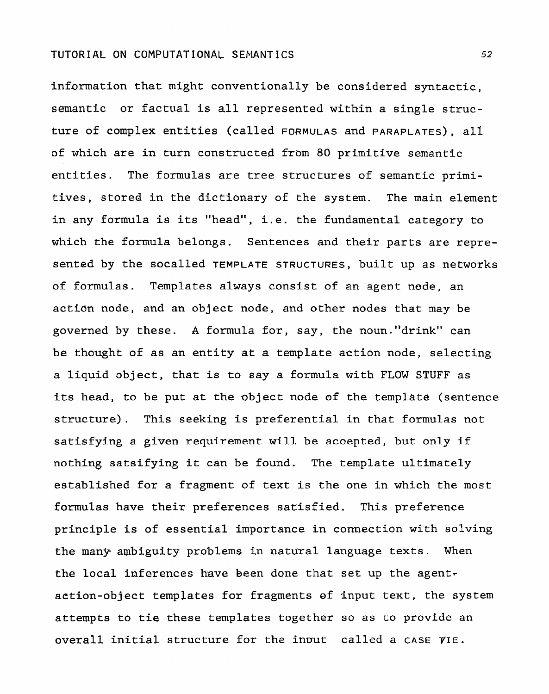information that might conventionally be considered syntactic, semantic or factual is all **represented** within **a** single structure of **complex** entities **(called** FORMULAS and **PARAPLATES),** all of which are in turn constructed from 80 primitive semantic entities. The formulas are tree structures of semantic primitives, stored in the dictionary of the system. The main element in any formula **is** its "head", i. e. the fundamental category to which the formula belongs. Sentences and their parts are represented by the socalled TEMPLATE STRUCTURES, built up as networks of formulas. Templates always consist of an agent node, an action node, and an object node, and other nodes that may be governed by these. A formula for, say, the noun."drink" can be thought of as an entity at a template action node, selecting a liquid object, that is to say a formula with FLOW STUFF as its head, to be put at the object node of the template (sentence structure). This seeking is preferential in that formulas not satisfying a given requirement will be accepted, but only if nothing satsifying it can be found. The template ultimately **established** for a **fragment** of text is the one in which the most formulas have their preferences satisfied. This preference principle is of essential importance in connection with solving the many **ambiguity** problems in natural language texts. When the local. **inferences** have **been done that set** up the **agentr**  action-object templates for fragments of input text, the system attempts to tie these templates together so as to provide an overall initial structure for the input called a case  $\gamma$ IE.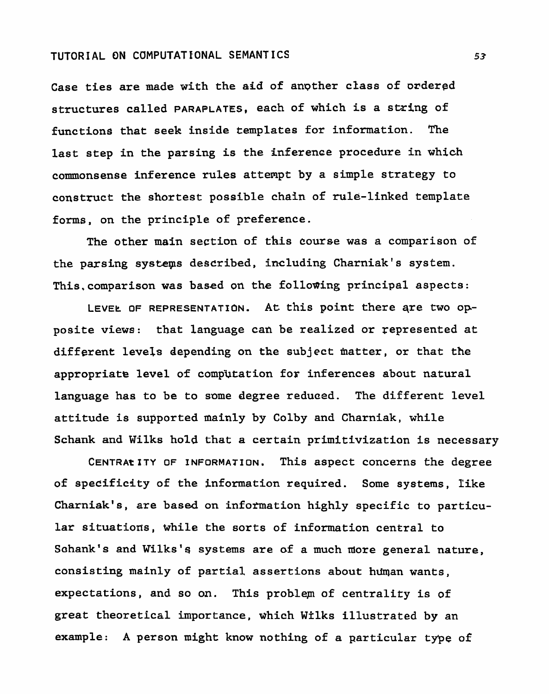**Case ties are made with the aid of angther class of ordered structures called PARAPLATES, each of which is a string of functions that seek** inside **templates** for **information. The last step in the parsing is the inference procedure in which commonsense inference rules** attempt **by a simple strategy to construct the shortest possible** chain of rule-linked template forms, on **the principle of preference.** 

**The other main section of this course was a comparison of the parsing systeps described, including Charniak's system. This,comparison was based on the following principal** aspects:

**LEVEL OF REPRESENTATION. At** this **point** there **qre two Opposite views: that language can be realized or represented at**  different levels **depending on the subject matter, or that the appropriate level of computation for inferences** about **natural language** has **to be to some degree reduced. The** different **level attitude** is **supported mainly by Colby** and **Charniak, while**  Schank **and Wilks hold that a certain primitivization is necessary** 

**CENTRANTY OF INFORMATION. This aspect concerns the degree of specificity** of the information required. Some **systems, Iike Charniak's, are based on** infomation **highly specific to particular situations, while the** sorts **of information central to Sohank's and Wilks's systems are of a much niore general** nature, **consisting** mainly **of partial assertions about** hman **wants, expectations, and so on. This** problep **of centrality is of**  great theoretical importance, which Wilks illustrated by an **example: A person might know nothing of a particular type of**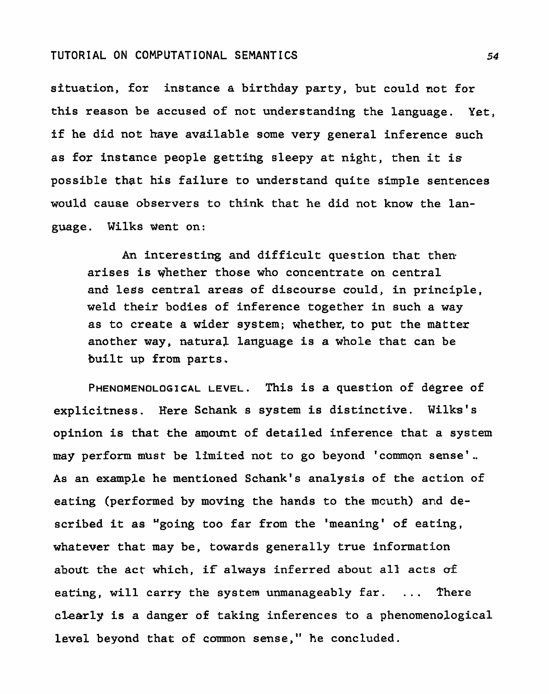**situation, for instance a birthday party, but could not for this reason be accused of not understanding the language. Yet, if he did not have available some very general inference such as** for **instance people gettihg sleepy at night, then it is possible** that **his failure to understand quite srmple sentences would cause observers to think that he did not know the language. Wilks went on:** 

**An interesting and difficult question that then arises is whether those who concentrate on central and less central areas of discourse could, in principle, weld their bodies of inference together in such a way as to create a wider system; whether, to put the matter another way, natural language is a whole that can be**  built up from parts.

**PHENOMENOLOGICAL LEVEL. This is a question of degree of explicitness. Here Schank s system is distinctive. Wilks's opinion is that the amount of detailed inference that a system may perform must be llmited not to go beyond 'commpn sense'.. As an example he mentioned Schank's analysis of the action of eating (performed by moving the hands to the mcuth) and de-<sup>1</sup>scribed it as Ugoing too far from the meaning' of eating, whatever that may be, towards generally true information about the act which, if always inferred about all acts a£ eating, will carry the system unmanageably far.** . . . **There clearly is a danger of taking inferences to a phenomenological level beyond that of common sense," he concluded.**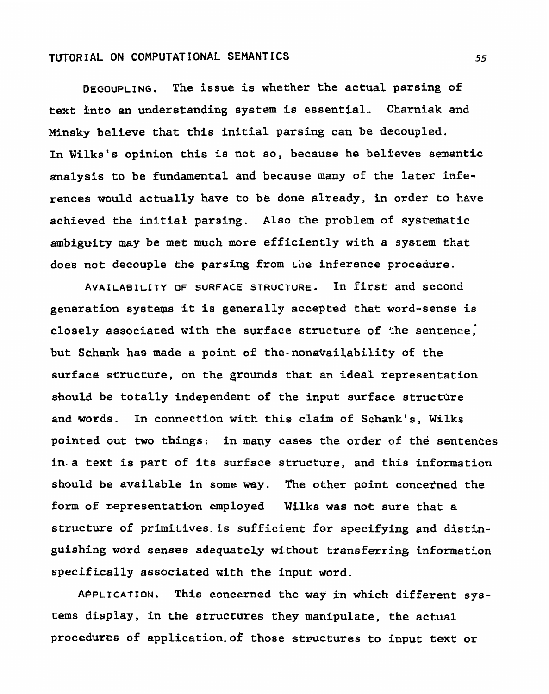**DEGOUPLING. The issue is whether the actual parsing of text fnto an understanding system is essential.. Charniak and Minskr believe that this initial parsing can be decoupled.**  In Wilks's opinion this is not so, because he believes semantic **analysis to be fundamental and because many of the later inferences would actually have to be done already, in order to have achieved the initial parsing. Also the problem of systematic ambiguity may be met much more efficiently with a system that does not decouple the parsing from the inference procedure.** 

**AVAILABILITY OF SURFACE STRUCTURE. In first and second generation systems it is generally accepted that word-sense is a. closely associated with the surface structure of the sentence, but Schank has made a point of the-nonavailability of the surface structure, on the grounds that an ideal representation**  should be totally independent of the input surface structure **and words. In connection with this claim of Schank's, Wilks pointed out two things: in many cases the order of the sentences in.a text is part of its surface structure, and this information should be available in some way. The other point conceined the**  form of representation employed Wilks was not sure that a **structure of primitlves. is sufficient for specifying and distinguishing word senses adequateLy without transferring information specifically associated with the input word.** 

**APPLICATION. This concerned the way in which different systems display, in the structures they manipulate, the actual procedures of application-of those structures to input text or**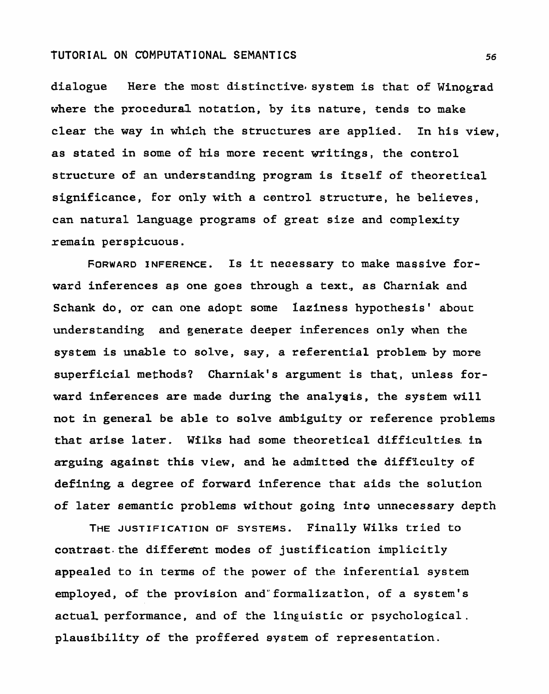**dialogue Here the most distinctive. system is that of Wfnograd where the procedural notation, by its nature, tends to make**  clear the way in which the structures are applied. In his view, **as stated in some of his more recent writings, the control structure of an understanding program is itself of theoretical significance, for only with a control structure, he believes, can natural language programs of great size and complexity remain perspicuous.** 

FORWARD INFERENCE. Is it necessary to make massive for**ward inferences as one goes through a text., as Charniak and Schank do, or can one adopt some laziness hypothesis' about**  understanding and generate deeper inferences only when the **system is unable to solve, say, a referential problem by more superficial methods? Charniak's argument is that, unless forward inferences are made during the** analysis, **the system will not in general be able to solve ambiguity or reference problems that arise later. Wilks had some theoretical difficulties. tn arguing against this view, and he admitted the difficulty of defining a degree of forward inference that aids the solution of later semantic problems without going into unnecessary depth** 

**THE JUSTIFICATION OF SYSTEMS. Finally Wilks tried to contrast. the different modes of justification implicitly appealed to in terms of the power of the inferential system employed, of the provision and"formalizatfon, of a system's actual performance, and of** the **linguistic or psychological. plausibility of the proffered system of representation.**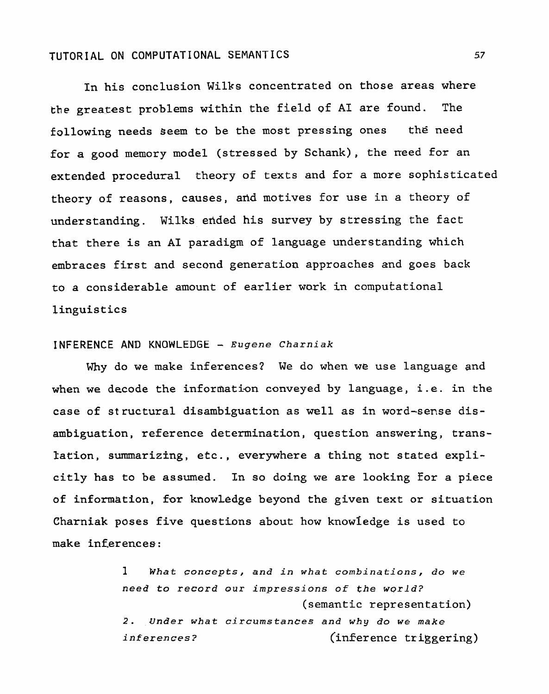In his conclusion Wilks concentrated on those areas where the greatest problems within the field **of A1** are found. **The**  following needs **seem** to be the most pressing ones the need for a good memory model (stressed by Schank), the need for an extended procedural theory of texts and for a more sophisticated theory of reasons, **causes,** arid motives **for use in** a theory of understanding. Wilks ended his survey by stressing the fact that there is an AI paradigm of language understanding which **embraces** first and second generation approaches and goes back to a considerable amount of earlier **work** in computational linguistics

#### **INFERENCE AND KNOWLEDGE** - **Eugene Charniak**

**Why** do **we** make **inferences? We do when we use language and**  when we decode the information **conveyed** by language, **i** . **e.** in the **case** of structural disambiguation as well as in word-sense disambiguation, reference determination, question answering, translation, summarizing, etc., everywhere a thing not stated explicitly has to be assumed. In so doing we are looking Eor a piece of information, for knowledge beyond the **given** text **or situation Charniak poses five** questions about how knowledge is used to **make inferences:** 

> **1** *What concepts,* **and in** *what* **combinations,** *do* **we**  *need to record* **our** *impressions* **of** *the wgrld?*  (semantic representation) **2. Under** *what circurnstanees* **and why** *do* we make *inferences?* (inference triggering)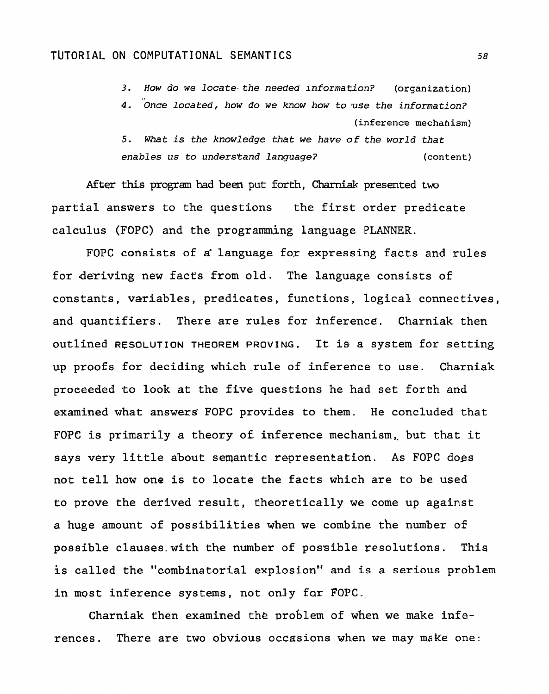**3. How do we** *1ocate.the* **needed** *information?* **(organization)** 

**1,**  *4. Once located,* **how do we know** *how* **to** vSe *the* **information?**  (inference **mechahism)** 

**5.** *@hat* **is the** *knowledge* **that** *we have* **of the world that enables us to understand language?** (content)

After this program had been put forth, Charniak presented two partial answers to the questions the first order predicate calculus **(FOPC)** and the programing language PLANNER.

FOPC consists of a language for expressing facts and rules for deriving new facts from old. The language consists of constants, variables, predicates, functions, logical connectives, and quantifiers. There are rules for inference. Charniak then outlined RESOLUTION **THEOREM** PROVING. It **is** a system for setting up proofs for deciding which rule **of** inference to **use.** Charniak **proceeded to** look at **the five questions he** had set forth and examined what **answers.** FOPC provides to them. He concluded that FOPC is primarily a theory **ot** inference mechanism,, but that it says very little about semantic representation. As FOPC dogs not tell how one is to locate the facts which are to be used to prove the derived result, theoretically we come up against a huge amount **af** possibilities when we combine the number of possible clauses.with the number of **possible** resolutions. This **is** called the "combinatorial explosion'" and is a serious problem in most inference systems, not only far FOPC.

Charniak then examined the problem of when we make inferences. There are two obvious occasions when we may **make** one: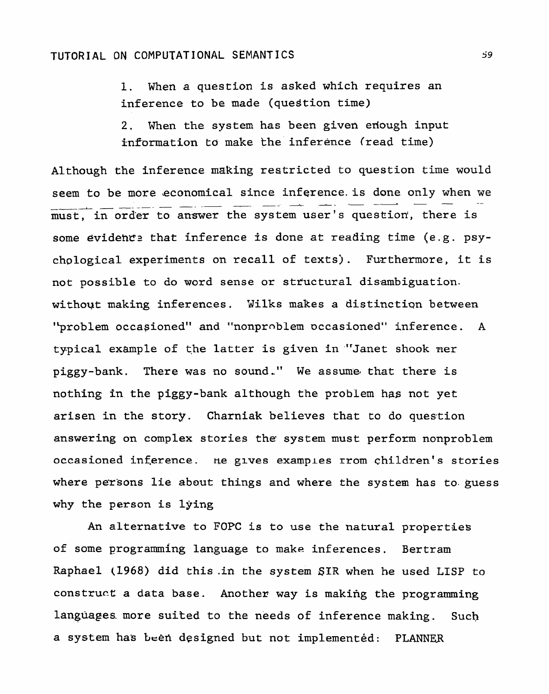**1. When a question is asked which requires an inference to be made (question time)** 

2. When the system has been given enough input information to make the inference (read time)

**Although the inference making** restricted **to question** time **would**  seem to be more economical since inference is done only when we  $must$ , in order to answer the system user's question', there is some evidence that inference is done at reading time (e.g. psychological experiments on recall of texts). Furthermore, it is **not possible to do word sense or steuctural disambiguation.**  without making inferences. Wilks makes a distinction between 'broblem **occasioned" and "nonproblem** occasioned" **inference. A typical example** of **the latter** is given in **-"Janet** shook **ner piggy-bank. There was no sound..** " **We assurnel that there is nothing In the piggy-bank although the problem** has **not yet arisen in the story. Charniak believes that to do question answering on complex stories the system must perform nonproblem occasioned inference. ne glves examples rrom children's stories where persons lie about things and** where **the system** has **to.guess why** the **person is lying** 

**An alternative** to **FOPC is** to **use** the **natural** properties **of some programming language to make inferences. Bertram Raphael (1968) did this .ih the system** SIR **when he used LISP to construce a data base. Another way is making the programing languagesmore suited to the needs of inference making.** Such a system has been designed but not implemented: PLANNER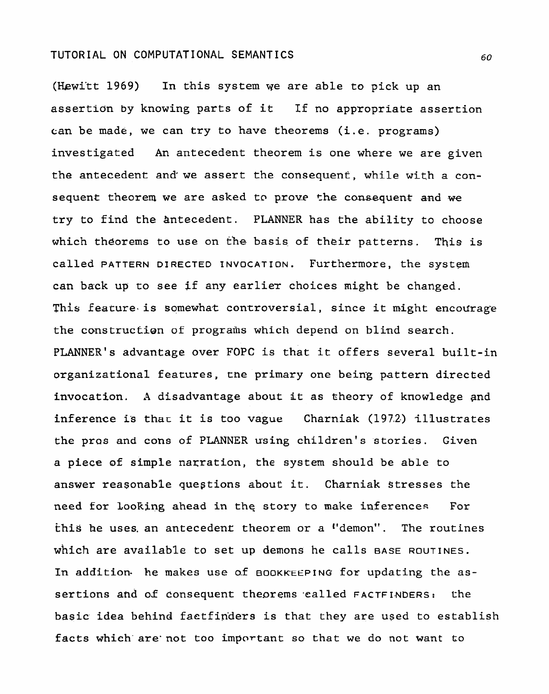(Hewi'tt 1969) In **this system we are able to pick up an assertion by knowing parts of it If no appropriate assertion can be made, we can** try **to have theorems (i.e. programs) investigated An antecedent** theorem is **one** where we **are** given **the antecedent and'we assert** the **consequent, while** with **a con**sequent theorem we are asked to prove the consequent and we **try** to find **the antecedent. PLANNER has the** ability to choose **which theorems** to **use** on the **basis of** their **patterns. This is called PATTERN DIRECTED INVOCATION. Furthermore, the system can back up to see if any earlier** choices **night be changed. This feature is somewhat controversial, since it might encourage the** construcLi0n **of** programs **which** depend **on** blind search. **PLANNER'S advantage over FOPC is that it offers several built-in organizational features, tne primary one being pattern directed invocation. A disadvantage about it as** theory **of knowledge and inference is that it is too vague Charniak (197.2) illustrates the pros and cons of PLANNER using children's stories.** Given **a piece of simple narration, the system should be able** to **answer reasonable quegtions** about **it. Charniak Stresses the need for** looking **ahead in** thg **story to make** inferences **For this he uses. an anteceden~** theorem **or a "demon".** The **routines which are available to set up demons he calls BASE ROUTINES.** In addition. he makes use of BOOKKEEPING for updating the assertions **and** of **Consequent theorems** pealled **FACTFI-NDERS:** the **basic idea behind faetfinders is that they are used to** establish **facts** whieh-are'not too important so **that** we **do not want to**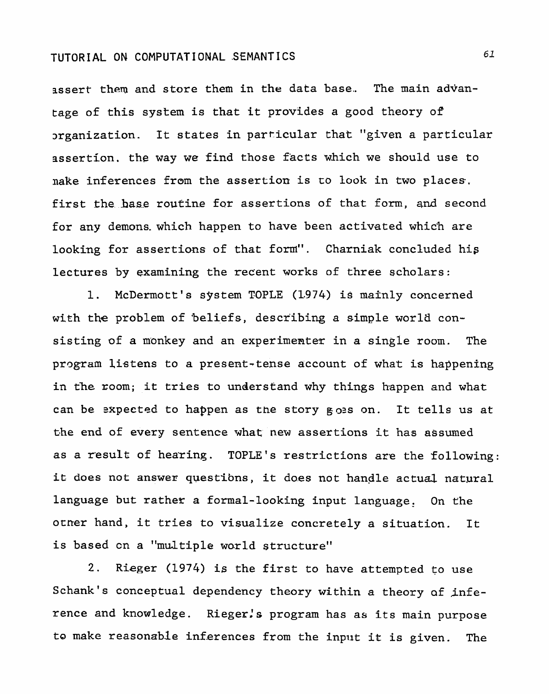assert them and store them in the data base. The main advan**tage** of this system is that it provides a good theory of srganization. It states in particular that "given a particular assertion. the way we find those facts which we should use to nake inferences from the assertion is to look in two places. first the base routine for assertions of that form, and second for any demons.which happen to have been activated which are looking for assertions of that form". Charniak concluded his lectures by examining the recent works of three scholars:

1. McDermott's system TOPLE (1974) is mainly concerned with the problem of 'beliefs, describing a simple world consisting of a monkey and an experimenter in **a** single room. The program listens to a present-tense account of **what** is happening in the zoom; it tries to understand why things happen and **what**  can be **sxpected** to happen as the story **poas** on. It tells us at t.he **end** of every sentence what new assertions it **has** assumed as a result of hearing. TOPLE's restrictions are the following: it does not answer questibns, it does not handle actual natural language but rather a formal-looking input language. On the otner hand, it tries to visualize concretely a situation. It is based on a "multiple world structure"

2. Rieger (1974) is the first to have attempted to use Schank's conceptual dependency theory within a theory **af infe**rence and knowledge. Rieger's program has as its main purpose to make reasonable inferences from the input it is given. The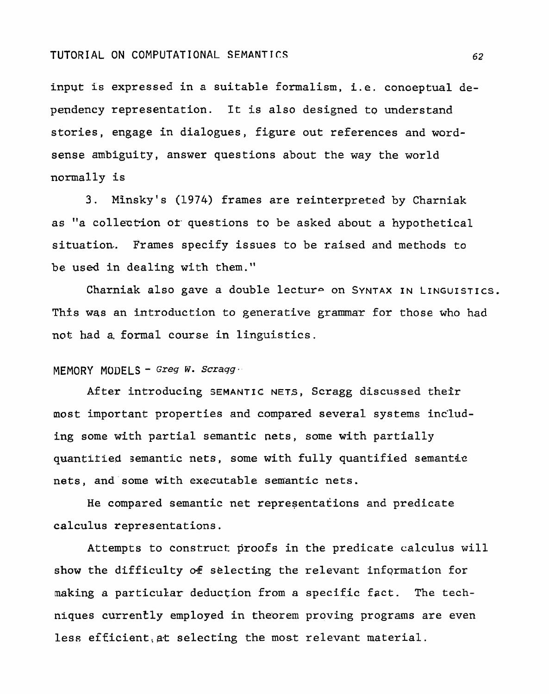input is **expressed** in a **suitable formalism, i.e. conceptual dependency representation. It is also designed to understand stories, engage in dialogues, figure out references and wordsense ambiguity, answer questions about the way the world normally is** 

**3. Minsky** ' **s (1974) frames are reinterpreted by Charniak as "a collect-ion or questions to be asked about a hypothetical situation. Frames specify issues to be raised and methods to**  be used in dealing with them."

Charniak also gave a double lecture on SYNTAX IN LINGUISTICS. **This was an introduction** to **generative** grammar **for those who had not had a. formal course in linguistics.** 

# MEMORY MODELS - **Greg W-** *Scraqg.*

**After introducing SEMANTIC NETS, Scragg discussed** their most important properties and compared several systems includ**ing some with partial semantic nets, some with partially quantitied semantic nets, some with fully quantified semanttc nets, and some with executable semantic nets.** 

**He compared semantic net representations and predicate calculus tepresentations.** 

**Attempts to construct proofs in the predicate** calculus **will**  show the difficulty of selecting the relevant information for making a particular deduction from a specific fact. The tech**niques currently employed in** theborem **proving programs are even**  less efficient, at selecting the most relevant material.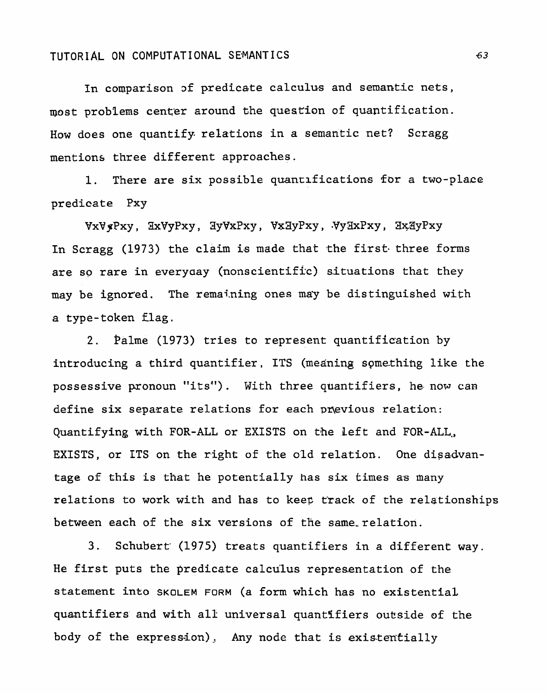In comparison of predicate calculus and semantic nets, most problems center around the question of quantification. How does one quantify relations in a semantic net? Scragg mentions three different approaches.

1. There are six possible quantifications for a two-place predicate Pxy

**vxv yPxy** , **ZxVyPxy** , **3yVxPxy,** Vz3yPxy, **\*VyIIxPxy, 3?\$3yPxy**  In Scragg (1973) the claim is made that the first three forms are so rare in everyday (nonscientific) situations that they may be ignored. The remaining ones may be distinguished with a type-token flag.

2. palme (1973) tries to represent quantification by introducing a third quantifier, ITS (meaning something like the possessive pronoun "its"). With three quantifiers, he now **cam**  define six separate relations for **each pwvious** relation: Quantifying with FOR-ALL or EXISTS on the Left and FOR-ALL., EXISTS, or ITS on the right of the old relation. One disadvantage of this is **that** he potentially has six times as many relations to work with and has to keep **erack** of the relationships between each of the six versions of the same relation.

3. Schubert (1975) treats quantifiers in a different way. He first puts the predicate calculus representation of the statement into **SKOLEM** FORM (a form which has no existential quantifiers and with all- universal quantlfiers outside **05** the body of the expression), Any node that is existentially

 $63$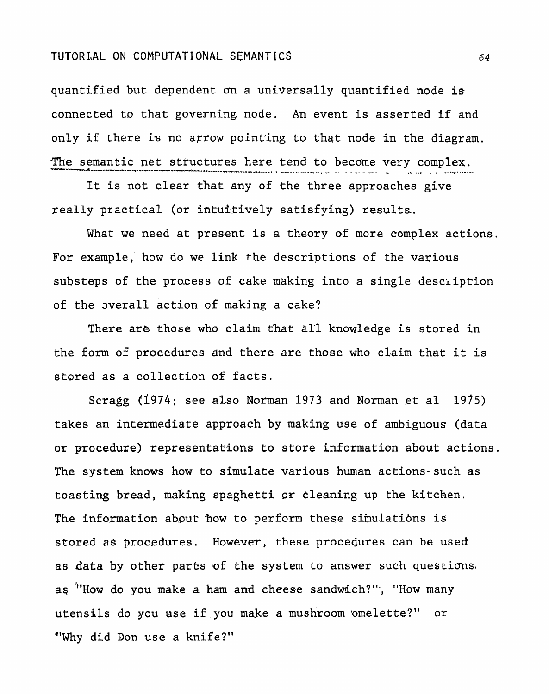**quantified** but **dependent an** a universally quantified node is connected to that governing node. An event is **asserred** if and only if there is no arrow **pointing to that** node in the diagram. The semantic net structures here tend to become very complex.

It is not clear that any of the three **approaches give**  really practical (or intuitively satisfying) results.

What we need at present is a theory of more conplex actions. **For** example, how do we link the descriptions **of** the various **substeps** of the pro.cess of cake making into a single desciiption of the overall action of making a cake?

There are those who claim that all knowledge is stored in the form of procedures and there are those who claim that it is stored as a collection of facts.

**Scragg** (1974; **see also** Nonuan 1973 and Norman **et a1** 1975) takes an intermediate approach by making use of ambiguous (data or **procedure) representat-ions to store information about actions.**  The system knows how **to** simulate various human actions-such as toasting bread, making spaghetti **sr** cleaning **up** the kitchen. The information about how to perform these simulations is **stored as** procedures. **However,** these procedures can be used as data by other parts of the system to answer such **questicms.**  as "How do you make a ham and cheese sandwich?", "How many **utensils** do **you use if** you **make a** mushroom omelette?" or "Why did Don use a knife?"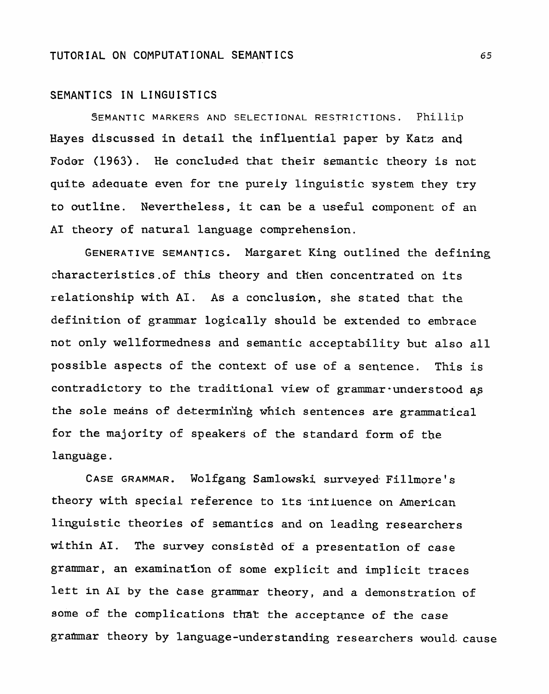#### **SEMANT** I **CS** I'N **LI NGU** I ST I **CS**

SEMANTIC MARKERS **AND** SELECTIONAL **RESTRICTIONS. Phillip**  Hayes discussed in detail the influential paper by Katz and Fodor (1963). He concluded that their semantic theory is not **qufte** adeouate even for **the** purely linguistic system they try to outline. Nevertheless, it can be a useful component of an **A1** theory of natural language comprehension.

GENERATIVE SEMANTICS. Margaret King outlined the defining characteristics.of this theory and then concentrated on its relationship with AI. As a conclusion, she stated that the definition of grammar **logically should be** extended to embrace not only wellformedness and semantic acceptability but also all possible aspects of the context of use of a sentence. This is contradictory to the traditional view of grammar-understood as **the** sole **means of** determin'ing which sentences **are** grammatical for **the** majority of speakers of the standard form **oE the**  language.

CASE GRAMMAR. Wolfgang Samlowski surveyed Fillmore's theory with **special** reference to **Its** -intLuence on American linguistic theories of semantics and on leading researchers **within** AI. **The survey consisted of a presentation of case**  grammar, an examinatlon of some explicit and implicit traces lett in **A1** by **the Case grammar** theory, and a demonstration of some of the complications that the acceptance of the case grammar theory by language-understanding researchers would cause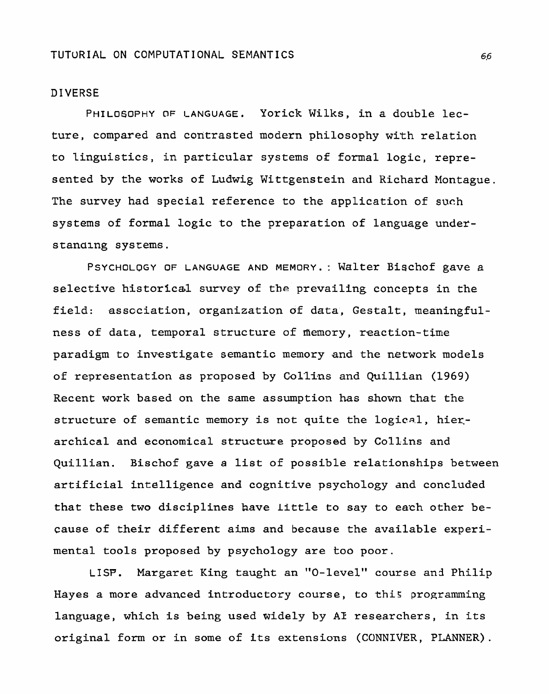#### **DIVERSE**

PHILOSOPHY OF LANGUAGE. Yorick Wilks, in a double lecture, compared and contrasted modern philosophy with relation to linguistics, in particular systems of formal logic, represented by the works of Ludwig Wittgenstein and Richard Montague. The survey had special reference to the application of such systems of formal logic to the preparation of language understanding systems.

**PSYCHOLOGY OF** LANGUAGE AND MEMORY.: Walter Bischof gave a selective historical survey of the prevailing concepts in the field: association, organization of data, Gestalt, meaningfulness of data, temporal structure of memory, reaction-time paradigm to investigate semantic memory and the network models of representation as proposed by **C.ol'15ns** and Quillian (1969) Recent **work** based on the same assumption has shown that the structure of semantic memory is not quite the logical, hierarchical and **economical structure** proposed **by** Collins and Quillian. Bischof gave a list **of** possible relationships between artificial intelligence **and** cognitive psychology **and** concluded that these **two disciplines** have Little **to** say to each other because of their different **aims and** because the available experimental tools proposed by psychology **are** too poor.

LISP. Margaret King taught an "0-level" course and Philip Hayes a more advanced introductory course, to **this** programming language, which is being used widely by **AT** researchers, in its original form **or** in **some of** its extensions (CONNIVER, PLANNER).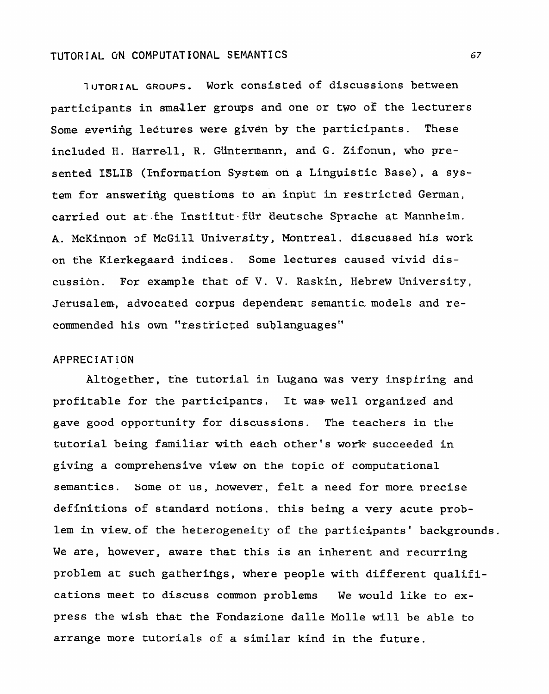**TUTORIAL GROUPS. Work consisted of discussions between participants in** smaJler **groups and one or two of the lecturers Some evenifig** lectures **were given by the participants. These included H.** Harrell, **R. Giintermann, and G. Zifonun, who pre**sented ISLIB (Information System on a Linguistic Base), a sys**tem for answerifig questions to an** input in **restricted German,**  carried out at the Institut fur deutsche Sprache at Mannheim. **A. McKinnon 3f McGill University, Montreal. discussed his work on the Kierkegaard indices. Some lectures caused vivid discussibn. For example that of V. V. Raskin, Hebrew University, Jerusalem-, advocated corpus** dependent **semantic.models** and re**commended** his **own "f,estric~ed sublanguages"** 

#### **APPRECIATION**

**Altogether, tne tutorial in Lugana was** very **inspiring and profitable for the participants. It was well organized and gave good opportunity for discussions. The teachers in** the tutorial **being** familiar with **each** other's **work succeeded** in **giving a comprehensive view on the topic** of computational **semantics.** some **or** us, .however, **felt a need** for **more precise definttions of standard notions, this being a** very **acute** problem **in view-of the heterogeneity of the participants' backgrounds. We are, however, aware that this is an inherent and** recurring problem **at such gatherings, where people with different qualifications meet to dis-cuss comon problems We would like to ex**press the wish that the Fondazione dalle Molle will be able to **arrange more tutorials of a similar kind in the future.**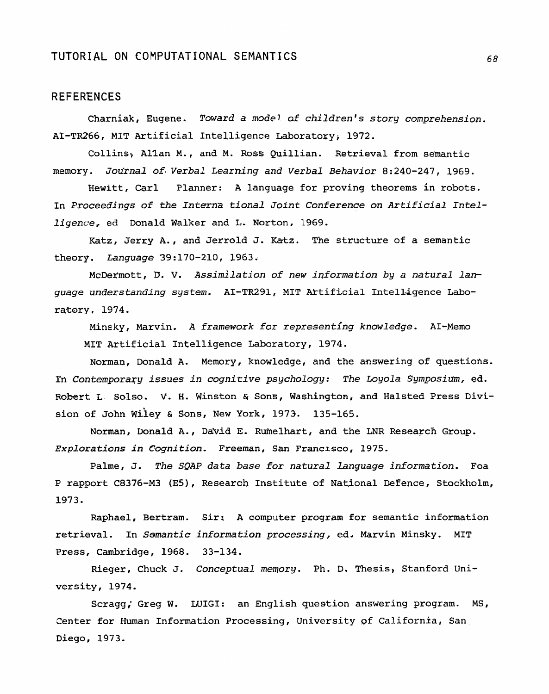#### **REFERENCES**

Charniak, Eugene. Toward a mode7 af children's story comprehension. **AI-TR266,** MIT Artificial Intelligence Laboratoryi 1972.

Collins, Allan M., and M. Ross Quillian. Retrieval from semantic memory. Jou'rnal of. Verbal Learning and Verbal Behavior **8:240-247,** 1969.

Hewitt, Carl Planner: A language for proving theorems in robots. In Proceedings of the *Interna* tional Joint Conference on Artificial Intelligence, ed Donald Walker and L. Norton, 1969.

Katz, Jerry A., and Jerrold J. Katz. The structure of a semantic theory. Language 39:170-210, **1963.** 

McDermott, D. V. Assimilation of new information by a natural language understanding system. AI-TR291, MIT Artificial Intelligence Laboratory, 1974.

Minsky, Marvin. A framework for representing knowledge. AI-Memo MIT Artificial Intelligence Laboratory, 1974.

Norman, Donald A. Memory, knowledge, and the answering of questiohs. **Pn** Contemporary issues in cognitive psychology: The Loyola Symposium, **ed.**  Robert L Solso. V. H. Winston & Sons, Washington, and Halsted Press Division of John Wiley & Sons, New York, 1973. 135-165.

Norman, Donald A., David E. Rumelhart, and the LNR Research Group. **Explorations in Cognition- Freeman, San** Francisco, 1975.

Palme, **3.** The SQAP data base for natural Language information. Foa P rapport C8376-M3 **(ES),** Research Institute of National Defence, Stockholm, 1973.

Raphael, Bertram. Sir: **A** computer program for semantic information retrieval. In Semantic information processing, ed. Marvin Minsky. MIT Press, Cambridge, 1968. 33-134.

Rieger, Chuck J. Conceptual mewory. **Ph,** D. Thesis, Stanford University, 1974.

Scragg; Greg W. LUIGI: an English question answering program. MS, Center for Human Information Processing, University of California, San Diego, 1973.